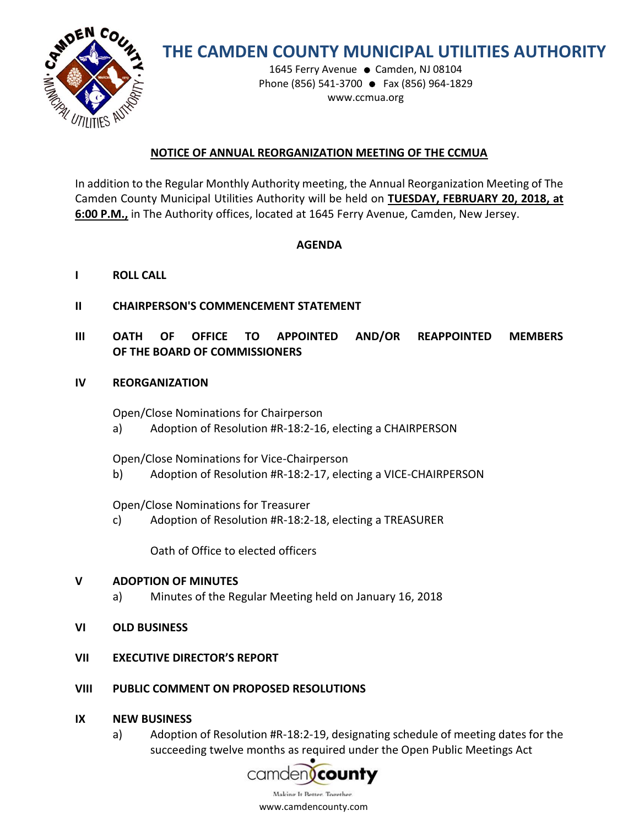

# **THE CAMDEN COUNTY MUNICIPAL UTILITIES AUTHORITY**

1645 Ferry Avenue ● Camden, NJ 08104 Phone (856) 541-3700 ● Fax (856) 964-1829 www.ccmua.org

# **NOTICE OF ANNUAL REORGANIZATION MEETING OF THE CCMUA**

In addition to the Regular Monthly Authority meeting, the Annual Reorganization Meeting of The Camden County Municipal Utilities Authority will be held on **TUESDAY, FEBRUARY 20, 2018, at 6:00 P.M.,** in The Authority offices, located at 1645 Ferry Avenue, Camden, New Jersey.

## **AGENDA**

- **I ROLL CALL**
- **II CHAIRPERSON'S COMMENCEMENT STATEMENT**
- **III OATH OF OFFICE TO APPOINTED AND/OR REAPPOINTED MEMBERS OF THE BOARD OF COMMISSIONERS**
- **IV REORGANIZATION**

Open/Close Nominations for Chairperson

a) Adoption of Resolution #R-18:2-16, electing a CHAIRPERSON

Open/Close Nominations for Vice-Chairperson

b) Adoption of Resolution #R-18:2-17, electing a VICE-CHAIRPERSON

Open/Close Nominations for Treasurer

c) Adoption of Resolution #R-18:2-18, electing a TREASURER

Oath of Office to elected officers

## **V ADOPTION OF MINUTES**

- a) Minutes of the Regular Meeting held on January 16, 2018
- **VI OLD BUSINESS**
- **VII EXECUTIVE DIRECTOR'S REPORT**
- **VIII PUBLIC COMMENT ON PROPOSED RESOLUTIONS**

#### **IX NEW BUSINESS**

a) Adoption of Resolution #R-18:2-19, designating schedule of meeting dates for the succeeding twelve [months as required under t](https://www.google.com/url?sa=i&rct=j&q=&esrc=s&source=images&cd=&cad=rja&uact=8&docid=1bFFCDCl5B1FAM&tbnid=uoUDtpPd_pfVeM:&ved=0CAUQjRw&url=https://dimension2.princetonecom.com/otp/StartAction.do?CCMUA&ei=eoZzU720BY3fsASzjYCQAQ&bvm=bv.66699033,d.aWw&psig=AFQjCNGgxuUuq5VqdB3fuLFiWnGIwJDacg&ust=1400166385202246)he Open Public Meetings Act

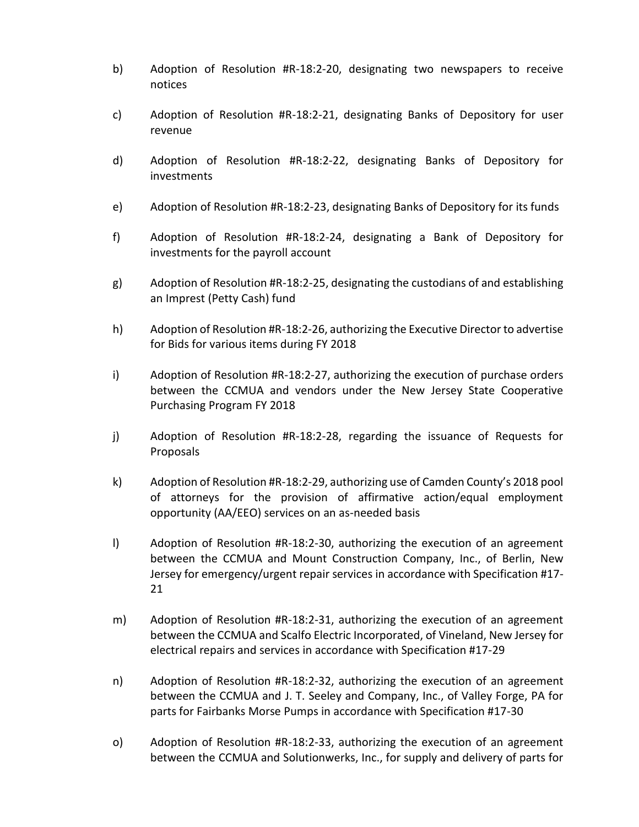- b) Adoption of Resolution #R-18:2-20, designating two newspapers to receive notices
- c) Adoption of Resolution #R-18:2-21, designating Banks of Depository for user revenue
- d) Adoption of Resolution #R-18:2-22, designating Banks of Depository for investments
- e) Adoption of Resolution #R-18:2-23, designating Banks of Depository for its funds
- f) Adoption of Resolution #R-18:2-24, designating a Bank of Depository for investments for the payroll account
- g) Adoption of Resolution #R-18:2-25, designating the custodians of and establishing an Imprest (Petty Cash) fund
- h) Adoption of Resolution #R-18:2-26, authorizing the Executive Director to advertise for Bids for various items during FY 2018
- i) Adoption of Resolution #R-18:2-27, authorizing the execution of purchase orders between the CCMUA and vendors under the New Jersey State Cooperative Purchasing Program FY 2018
- j) Adoption of Resolution #R-18:2-28, regarding the issuance of Requests for Proposals
- k) Adoption of Resolution #R-18:2-29, authorizing use of Camden County's 2018 pool of attorneys for the provision of affirmative action/equal employment opportunity (AA/EEO) services on an as-needed basis
- l) Adoption of Resolution #R-18:2-30, authorizing the execution of an agreement between the CCMUA and Mount Construction Company, Inc., of Berlin, New Jersey for emergency/urgent repair services in accordance with Specification #17- 21
- m) Adoption of Resolution #R-18:2-31, authorizing the execution of an agreement between the CCMUA and Scalfo Electric Incorporated, of Vineland, New Jersey for electrical repairs and services in accordance with Specification #17-29
- n) Adoption of Resolution #R-18:2-32, authorizing the execution of an agreement between the CCMUA and J. T. Seeley and Company, Inc., of Valley Forge, PA for parts for Fairbanks Morse Pumps in accordance with Specification #17-30
- o) Adoption of Resolution #R-18:2-33, authorizing the execution of an agreement between the CCMUA and Solutionwerks, Inc., for supply and delivery of parts for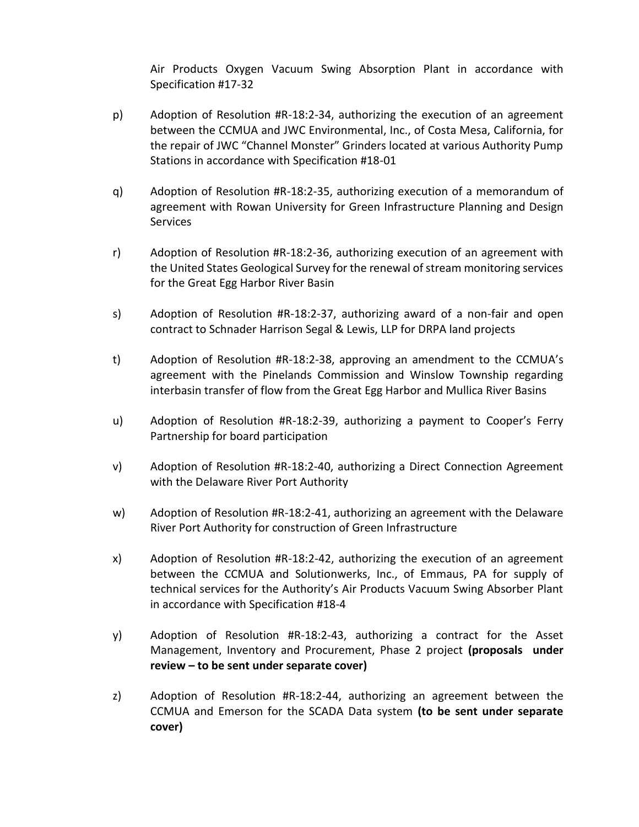Air Products Oxygen Vacuum Swing Absorption Plant in accordance with Specification #17-32

- p) Adoption of Resolution #R-18:2-34, authorizing the execution of an agreement between the CCMUA and JWC Environmental, Inc., of Costa Mesa, California, for the repair of JWC "Channel Monster" Grinders located at various Authority Pump Stations in accordance with Specification #18-01
- q) Adoption of Resolution #R-18:2-35, authorizing execution of a memorandum of agreement with Rowan University for Green Infrastructure Planning and Design Services
- r) Adoption of Resolution #R-18:2-36, authorizing execution of an agreement with the United States Geological Survey for the renewal of stream monitoring services for the Great Egg Harbor River Basin
- s) Adoption of Resolution #R-18:2-37, authorizing award of a non-fair and open contract to Schnader Harrison Segal & Lewis, LLP for DRPA land projects
- t) Adoption of Resolution #R-18:2-38, approving an amendment to the CCMUA's agreement with the Pinelands Commission and Winslow Township regarding interbasin transfer of flow from the Great Egg Harbor and Mullica River Basins
- u) Adoption of Resolution #R-18:2-39, authorizing a payment to Cooper's Ferry Partnership for board participation
- v) Adoption of Resolution #R-18:2-40, authorizing a Direct Connection Agreement with the Delaware River Port Authority
- w) Adoption of Resolution #R-18:2-41, authorizing an agreement with the Delaware River Port Authority for construction of Green Infrastructure
- x) Adoption of Resolution #R-18:2-42, authorizing the execution of an agreement between the CCMUA and Solutionwerks, Inc., of Emmaus, PA for supply of technical services for the Authority's Air Products Vacuum Swing Absorber Plant in accordance with Specification #18-4
- y) Adoption of Resolution #R-18:2-43, authorizing a contract for the Asset Management, Inventory and Procurement, Phase 2 project **(proposals under review – to be sent under separate cover)**
- z) Adoption of Resolution #R-18:2-44, authorizing an agreement between the CCMUA and Emerson for the SCADA Data system **(to be sent under separate cover)**